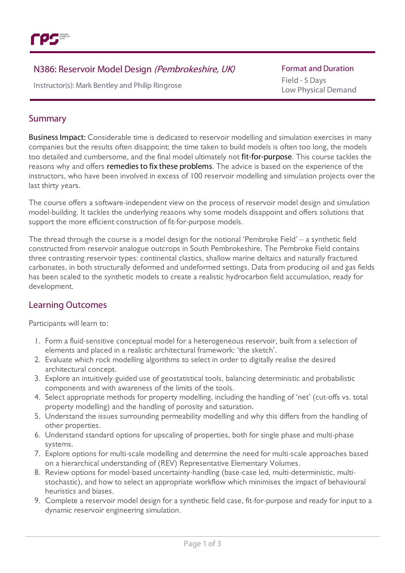

# N386: Reservoir Model Design (Pembrokeshire, UK)

Instructor(s): Mark Bentleyand Philip Ringrose

Formatand Duration Field - 5 Days Low Physical Demand

## Summary

Business Impact: Considerable time is dedicated to reservoir modelling and simulation exercises in many companies but the results often disappoint; the time taken to build models is often too long, the models too detailed and cumbersome, and the final model ultimately not fit-for-purpose. This course tackles the reasons why and offers remedies to fix these problems. The advice is based on the experience of the instructors, who have been involved in excess of 100 reservoir modelling and simulation projects over the last thirty years.

The course offers a software-independent view on the process of reservoir model design and simulation model-building. It tackles the underlying reasons why some models disappoint and offers solutions that support the more efficient construction of fit-for-purpose models.

The thread through the course is a model design for the notional 'Pembroke Field' – a synthetic field constructed from reservoir analogue outcrops in South Pembrokeshire. The Pembroke Field contains three contrasting reservoir types: continental clastics, shallow marine deltaics and naturally fractured carbonates, in both structurally deformed and undeformed settings. Data from producing oil and gas fields has been scaled to the synthetic models to create a realistic hydrocarbon field accumulation, ready for development.

# Learning Outcomes

Participants will learn to:

- 1. Form a fluid-sensitive conceptual model for a heterogeneous reservoir, built from a selection of elements and placed in a realistic architectural framework: 'the sketch'.
- 2. Evaluate which rock modelling algorithms to select in order to digitally realise the desired architectural concept.
- 3. Explore an intuitively-guided use of geostatistical tools, balancing deterministic and probabilistic components and with awareness of the limits of the tools.
- 4. Select appropriate methods for property modelling, including the handling of 'net' (cut-offs vs. total property modelling) and the handling of porosity and saturation.
- 5. Understand the issues surrounding permeability modelling and why this differs from the handling of other properties.
- 6. Understand standard options for upscaling of properties, both for single phase and multi-phase systems.
- 7. Explore options for multi-scale modelling and determine the need for multi-scale approaches based on a hierarchical understanding of (REV) Representative Elementary Volumes.
- 8. Review options for model-based uncertainty-handling (base-case led, multi-deterministic, multistochastic), and how to select an appropriate workflow which minimises the impact of behavioural heuristics and biases.
- 9. Complete a reservoir model design for a synthetic field case, fit-for-purpose and ready for input to a dynamic reservoir engineering simulation.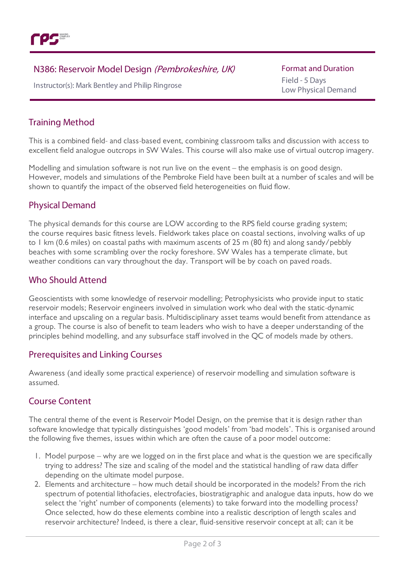

# N386: Reservoir Model Design (Pembrokeshire, UK)

Instructor(s): Mark Bentleyand Philip Ringrose

**Format and Duration** Field - 5 Days Low Physical Demand

## Training Method

This is a combined field- and class-based event, combining classroom talks and discussion with access to excellent field analogue outcrops in SW Wales. This course will also make use of virtual outcrop imagery.

Modelling and simulation software is not run live on the event – the emphasis is on good design. However, models and simulations of the Pembroke Field have been built at a number of scales and will be shown to quantify the impact of the observed field heterogeneities on fluid flow.

### Physical Demand

The physical demands for this course are LOW according to the RPS field course grading system; the course requires basic fitness levels. Fieldwork takes place on coastal sections, involving walks of up to 1 km (0.6 miles) on coastal paths with maximum ascents of 25 m (80 ft) and along sandy/pebbly beaches with some scrambling over the rocky foreshore. SW Wales has a temperate climate, but weather conditions can vary throughout the day. Transport will be by coach on paved roads.

### Who Should Attend

Geoscientists with some knowledge of reservoir modelling; Petrophysicists who provide input to static reservoir models; Reservoir engineers involved in simulation work who deal with the static-dynamic interface and upscaling on a regular basis. Multidisciplinary asset teams would benefit from attendance as a group. The course is also of benefit to team leaders who wish to have a deeper understanding of the principles behind modelling, and any subsurface staff involved in the QC of models made by others.

#### Prerequisites and Linking Courses

Awareness (and ideally some practical experience) of reservoir modelling and simulation software is assumed.

# Course Content

The central theme of the event is Reservoir Model Design, on the premise that it is design rather than software knowledge that typically distinguishes 'good models' from 'bad models'. This is organised around the following five themes, issues within which are often the cause of a poor model outcome:

- 1. Model purpose why are we logged on in the first place and what is the question we are specifically trying to address? The size and scaling of the model and the statistical handling of raw data differ depending on the ultimate model purpose.
- 2. Elements and architecture how much detail should be incorporated in the models? From the rich spectrum of potential lithofacies, electrofacies, biostratigraphic and analogue data inputs, how do we select the 'right' number of components (elements) to take forward into the modelling process? Once selected, how do these elements combine into a realistic description of length scales and reservoir architecture? Indeed, is there a clear, fluid-sensitive reservoir concept at all; can it be